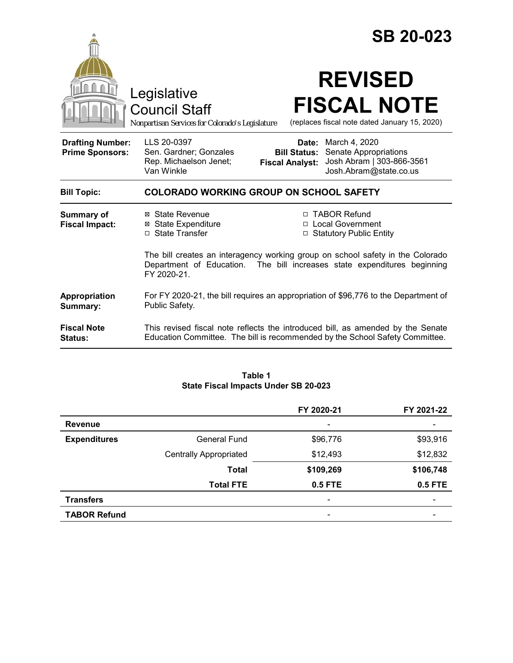|                                                   |                                                                                                                                                                              | <b>SB 20-023</b>                                       |                                                                                               |  |  |
|---------------------------------------------------|------------------------------------------------------------------------------------------------------------------------------------------------------------------------------|--------------------------------------------------------|-----------------------------------------------------------------------------------------------|--|--|
|                                                   | Legislative<br><b>Council Staff</b><br>Nonpartisan Services for Colorado's Legislature                                                                                       |                                                        | <b>REVISED</b><br><b>FISCAL NOTE</b><br>(replaces fiscal note dated January 15, 2020)         |  |  |
| <b>Drafting Number:</b><br><b>Prime Sponsors:</b> | LLS 20-0397<br>Sen. Gardner; Gonzales<br>Rep. Michaelson Jenet;<br>Van Winkle                                                                                                | Date:<br><b>Bill Status:</b><br><b>Fiscal Analyst:</b> | March 4, 2020<br>Senate Appropriations<br>Josh Abram   303-866-3561<br>Josh.Abram@state.co.us |  |  |
| <b>Bill Topic:</b>                                | <b>COLORADO WORKING GROUP ON SCHOOL SAFETY</b>                                                                                                                               |                                                        |                                                                                               |  |  |
| <b>Summary of</b><br><b>Fiscal Impact:</b>        | ⊠ State Revenue<br><b>State Expenditure</b><br>⊠<br>□ State Transfer                                                                                                         |                                                        | □ TABOR Refund<br>□ Local Government<br>□ Statutory Public Entity                             |  |  |
|                                                   | The bill creates an interagency working group on school safety in the Colorado<br>Department of Education.<br>The bill increases state expenditures beginning<br>FY 2020-21. |                                                        |                                                                                               |  |  |
| Appropriation<br>Summary:                         | For FY 2020-21, the bill requires an appropriation of \$96,776 to the Department of<br>Public Safety.                                                                        |                                                        |                                                                                               |  |  |
| <b>Fiscal Note</b><br><b>Status:</b>              | This revised fiscal note reflects the introduced bill, as amended by the Senate<br>Education Committee. The bill is recommended by the School Safety Committee.              |                                                        |                                                                                               |  |  |

#### **Table 1 State Fiscal Impacts Under SB 20-023**

|                     |                               | FY 2020-21 | FY 2021-22 |
|---------------------|-------------------------------|------------|------------|
| <b>Revenue</b>      |                               |            |            |
| <b>Expenditures</b> | <b>General Fund</b>           | \$96,776   | \$93,916   |
|                     | <b>Centrally Appropriated</b> | \$12,493   | \$12,832   |
|                     | <b>Total</b>                  | \$109,269  | \$106,748  |
|                     | <b>Total FTE</b>              | 0.5 FTE    | 0.5 FTE    |
| <b>Transfers</b>    |                               |            |            |
| <b>TABOR Refund</b> |                               |            |            |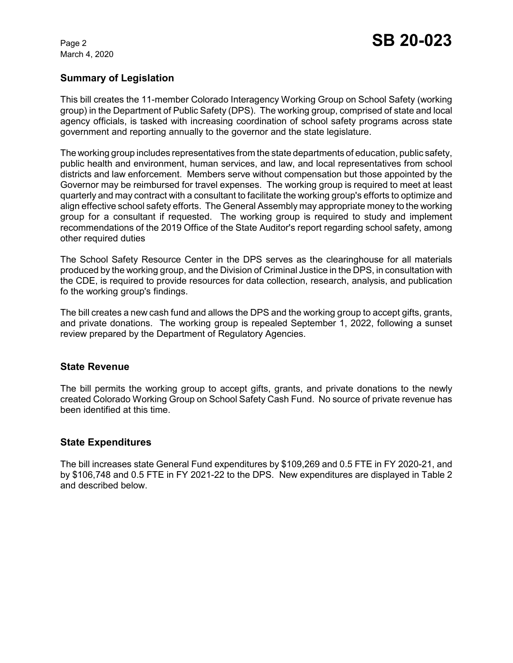March 4, 2020

# **Summary of Legislation**

This bill creates the 11-member Colorado Interagency Working Group on School Safety (working group) in the Department of Public Safety (DPS). The working group, comprised of state and local agency officials, is tasked with increasing coordination of school safety programs across state government and reporting annually to the governor and the state legislature.

The working group includes representatives from the state departments of education, public safety, public health and environment, human services, and law, and local representatives from school districts and law enforcement. Members serve without compensation but those appointed by the Governor may be reimbursed for travel expenses. The working group is required to meet at least quarterly and may contract with a consultant to facilitate the working group's efforts to optimize and align effective school safety efforts. The General Assembly may appropriate money to the working group for a consultant if requested. The working group is required to study and implement recommendations of the 2019 Office of the State Auditor's report regarding school safety, among other required duties

The School Safety Resource Center in the DPS serves as the clearinghouse for all materials produced by the working group, and the Division of Criminal Justice in the DPS, in consultation with the CDE, is required to provide resources for data collection, research, analysis, and publication fo the working group's findings.

The bill creates a new cash fund and allows the DPS and the working group to accept gifts, grants, and private donations. The working group is repealed September 1, 2022, following a sunset review prepared by the Department of Regulatory Agencies.

#### **State Revenue**

The bill permits the working group to accept gifts, grants, and private donations to the newly created Colorado Working Group on School Safety Cash Fund. No source of private revenue has been identified at this time.

# **State Expenditures**

The bill increases state General Fund expenditures by \$109,269 and 0.5 FTE in FY 2020-21, and by \$106,748 and 0.5 FTE in FY 2021-22 to the DPS. New expenditures are displayed in Table 2 and described below.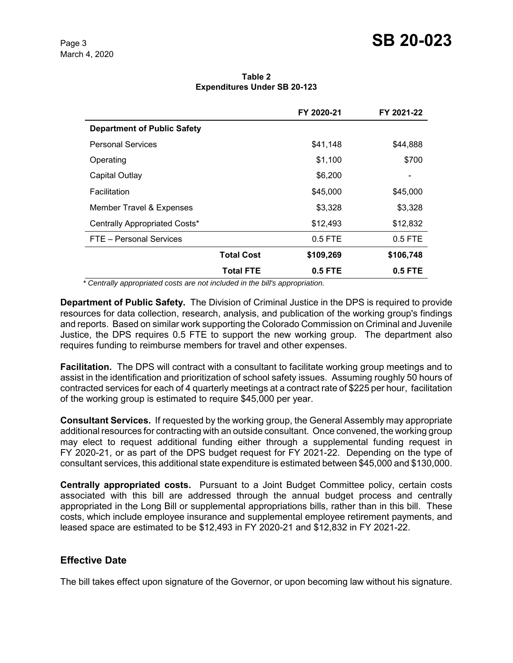**Table 2 Expenditures Under SB 20-123**

|                                    |                   | FY 2020-21 | FY 2021-22 |
|------------------------------------|-------------------|------------|------------|
| <b>Department of Public Safety</b> |                   |            |            |
| <b>Personal Services</b>           |                   | \$41,148   | \$44,888   |
| Operating                          |                   | \$1,100    | \$700      |
| Capital Outlay                     |                   | \$6,200    |            |
| Facilitation                       |                   | \$45,000   | \$45,000   |
| Member Travel & Expenses           |                   | \$3,328    | \$3,328    |
| Centrally Appropriated Costs*      |                   | \$12,493   | \$12,832   |
| FTE - Personal Services            |                   | $0.5$ FTE  | $0.5$ FTE  |
|                                    | <b>Total Cost</b> | \$109,269  | \$106,748  |
|                                    | <b>Total FTE</b>  | 0.5 FTE    | $0.5$ FTE  |

 *\* Centrally appropriated costs are not included in the bill's appropriation.*

**Department of Public Safety.** The Division of Criminal Justice in the DPS is required to provide resources for data collection, research, analysis, and publication of the working group's findings and reports. Based on similar work supporting the Colorado Commission on Criminal and Juvenile Justice, the DPS requires 0.5 FTE to support the new working group. The department also requires funding to reimburse members for travel and other expenses.

**Facilitation.** The DPS will contract with a consultant to facilitate working group meetings and to assist in the identification and prioritization of school safety issues. Assuming roughly 50 hours of contracted services for each of 4 quarterly meetings at a contract rate of \$225 per hour, facilitation of the working group is estimated to require \$45,000 per year.

**Consultant Services.** If requested by the working group, the General Assembly may appropriate additional resources for contracting with an outside consultant. Once convened, the working group may elect to request additional funding either through a supplemental funding request in FY 2020-21, or as part of the DPS budget request for FY 2021-22. Depending on the type of consultant services, this additional state expenditure is estimated between \$45,000 and \$130,000.

**Centrally appropriated costs.** Pursuant to a Joint Budget Committee policy, certain costs associated with this bill are addressed through the annual budget process and centrally appropriated in the Long Bill or supplemental appropriations bills, rather than in this bill. These costs, which include employee insurance and supplemental employee retirement payments, and leased space are estimated to be \$12,493 in FY 2020-21 and \$12,832 in FY 2021-22.

# **Effective Date**

The bill takes effect upon signature of the Governor, or upon becoming law without his signature.